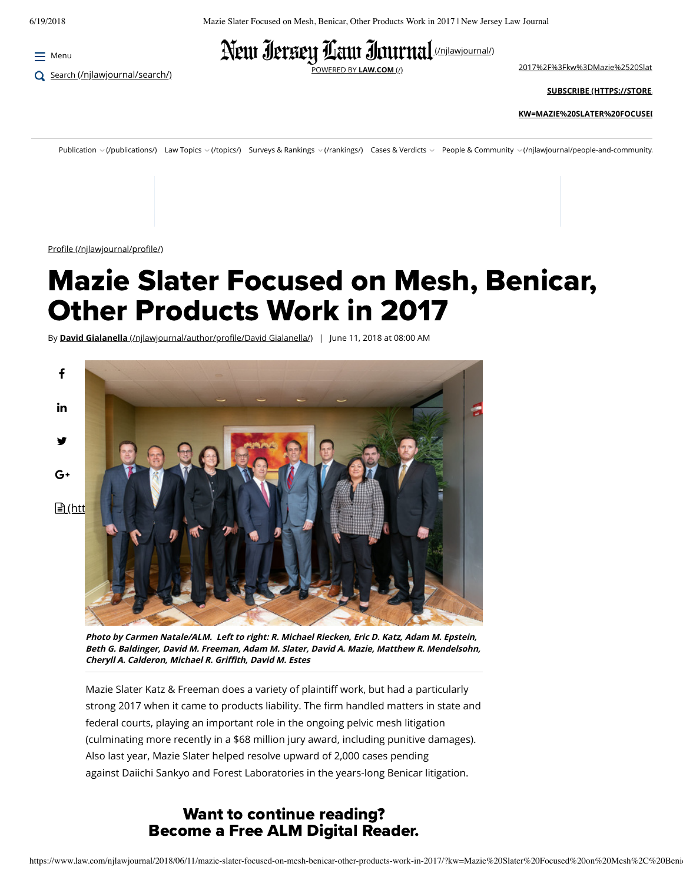$\equiv$  Menu

Q Search [\(/njlawjournal/search/\)](https://www.law.com/njlawjournal/search/)



[POWERED BY](https://www.law.com/) **LAW.COM** (/) [2017%2F%3Fkw%3DMazie%2520Slat](https://store.law.com/Registration/Login.aspx?promoCode=NJ&source=https%3A%2F%2Fwww.law.com%2Fnjlawjournal%2F2018%2F06%2F11%2Fmazie-slater-focused-on-mesh-benicar-other-products-work-in-2017%2F%3Fkw%3DMazie%2520Slater%2520Focused%2520on%2520Mesh%252C%2520Benicar%252C%2520Other%2520Products%2520Work%2520in%25202017%26et%3Deditorial%26bu%3DNew%2520Jersey%2520Law%2520Journal%26cn%3D20180614%26src%3DEMC-Email%26pt%3DSpecial%2520Report)

**SUBSCRIBE (HTTPS://STORE.**

**[KW=MAZIE%20SLATER%20FOCUSED](https://store.law.com/registration/default.aspx?promoCode=NJ&source=https://www.law.com/njlawjournal/2018/06/11/mazie-slater-focused-on-mesh-benicar-other-products-work-in-2017/?kw=Mazie%20Slater%20Focused%20on%20Mesh%2C%20Benicar%2C%20Other%20Products%20Work%20in%202017&et=editorial&bu=New%20Jersey%20Law%20Journal&cn=20180614&src=EMC-Email&pt=Special%20Report)**

Publication v(/publications/) Law Topics v(/topics/) Surveys & Rankings v(/rankings/) Cases & Verdicts v People & Community v(/njlawjournal/people-and-community/

Profile (/njlawjournal/profile/)

# **Mazie Slater Focused on Mesh, Benicar,** Other Products Work in 2017

By **David Gialanella** (/njlawjournal/author/profile/David Gialanella/) | June 11, 2018 at 08:00 AM



**Photo by Carmen Natale/ALM. Left to right: R. Michael Riecken, Eric D. Katz, Adam M. Epstein, Beth G. Baldinger, David M. Freeman, Adam M. Slater, David A. Mazie, Matthew R. Mendelsohn, Cheryll A. Calderon, Michael R. Grith, David M. Estes**

Mazie Slater Katz & Freeman does a variety of plaintiff work, but had a particularly strong 2017 when it came to products liability. The firm handled matters in state and federal courts, playing an important role in the ongoing pelvic mesh litigation (culminating more recently in a \$68 million jury award, including punitive damages). Also last year, Mazie Slater helped resolve upward of 2,000 cases pending against Daiichi Sankyo and Forest Laboratories in the years-long Benicar litigation.

## Want to continue reading? Become a Free ALM Digital Reader.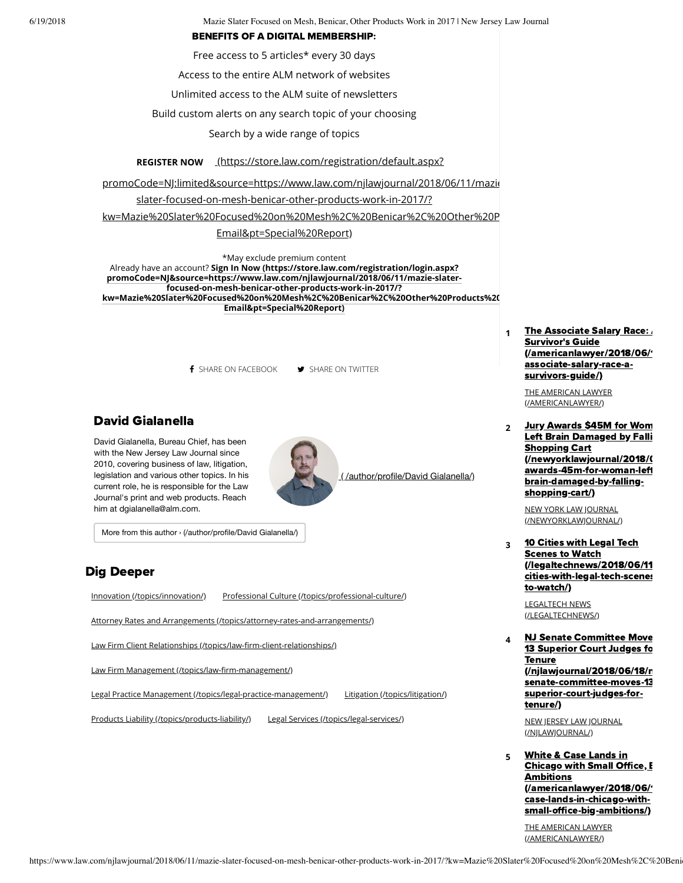6/19/2018 Mazie Slater Focused on Mesh, Benicar, Other Products Work in 2017 | New Jersey Law Journal

#### BENEFITS OF A DIGITAL MEMBERSHIP:

Free access to 5 articles\* every 30 days

Access to the entire ALM network of websites

Unlimited access to the ALM suite of newsletters

Build custom alerts on any search topic of your choosing

Search by a wide range of topics

**REGISTER NOW** (https://store.law.com/registration/default.aspx?

promoCode=NJ:limited&source=https://www.law.com/njlawjournal/2018/06/11/mazie-

slater-focused-on-mesh-benicar-other-products-work-in-2017/?

kw=Mazie%20Slater%20Focused%20on%20Mesh%2C%20Benicar%2C%20Other%20P

#### Email&pt=Special%20Report)

\*May exclude premium content Already have an account? **Sign In Now (https://store.law.com/registration/login.aspx? promoCode=NJ&source=https://www.law.com/njlawjournal/2018/06/11/mazie-slaterfocused-on-mesh-benicar-other-products-work-in-2017/? [kw=Mazie%20Slater%20Focused%20on%20Mesh%2C%20Benicar%2C%20Other%20Products%20Work%20in%202017&et=editorial&b](https://store.law.com/registration/login.aspx?promoCode=NJ&source=https://www.law.com/njlawjournal/2018/06/11/mazie-slater-focused-on-mesh-benicar-other-products-work-in-2017/?kw=Mazie%20Slater%20Focused%20on%20Mesh%2C%20Benicar%2C%20Other%20Products%20Work%20in%202017&et=editorial&bu=New%20Jersey%20Law%20Journal&cn=20180614&src=EMC-Email&pt=Special%20Report) Email&pt=Special%20Report)**

**f** SHARE ON FACEBOOK **SHARE ON TWITTER** 

### David Gialanella

David Gialanella, Bureau Chief, has been with the New Jersey Law Journal since 2010, covering business of law, litigation, legislation and various other topics. In his current role, he is responsible for the Law Journal's print and web products. Reach him at dgialanella@alm.com.



( [/author/profile/David](https://www.law.com/author/profile/David%20Gialanella/) Gialanella/)

More from this author › [\(/author/profile/David](https://www.law.com/author/profile/David%20Gialanella/) Gialanella/)

### Dig Deeper

[Innovation \(/topics/innovation/\)](https://www.law.com/topics/innovation/) [Professional Culture \(/topics/professional-culture/\)](https://www.law.com/topics/professional-culture/)

[Attorney Rates and Arrangements \(/topics/attorney-rates-and-arrangements/\)](https://www.law.com/topics/attorney-rates-and-arrangements/)

Law Firm Client Relationships (/topics/law-firm-client-relationships/)

Law Firm Management (/topics/law-firm-management/)

[Legal Practice Management \(/topics/legal-practice-management/\)](https://www.law.com/topics/legal-practice-management/) [Litigation \(/topics/litigation/\)](https://www.law.com/topics/litigation/)

[Products Liability \(/topics/products-liability/\)](https://www.law.com/topics/products-liability/) [Legal Services \(/topics/legal-services/\)](https://www.law.com/topics/legal-services/)

<u>(/americanlawyer/2018/06/'</u> **1** The Associate Salary Race: **Survivor's Guide** associate-salary-race-asurvivors-guide/)

> [THE AMERICAN LAWYER](https://www.law.com/americanlawyer/) (/AMERICANLAWYER/)

2 Jury Awards \$45M for Wom Left Brain Damaged by Falli **Shopping Cart** [\(/neworklawjournal/2018/0](https://www.law.com/newyorklawjournal/2018/06/15/jury-awards-45m-for-woman-left-brain-damaged-by-falling-shopping-cart/) awards-45m-for-woman-left brain-damaged-by-fallingshopping-cart/)

> NEW YORK LAW JOURNAL [\(/NEWYORKLAWJOURNAL/\)](https://www.law.com/newyorklawjournal/)

**<sup>3</sup>** 10 Cities with Legal Tech **Scenes to Watch** [\(/legaltechnews/2018/06/11](https://www.law.com/legaltechnews/2018/06/11/10-cities-with-legal-tech-scenes-to-watch/) cities-with-legal-tech-scenes to-watch/)

> LEGALTECH NEWS [\(/LEGALTECHNEWS/\)](https://www.law.com/legaltechnews/)

**4 NJ Senate Committee Move** 13 Superior Court Judges fo **Tenure** [\(/njlawjournal/2018/06/18/n](https://www.law.com/njlawjournal/2018/06/18/nj-senate-committee-moves-13-superior-court-judges-for-tenure/) senate-committee-moves-13 superior-court-judges-fortenure/)

> [NEW JERSEY LAW JOURNAL](https://www.law.com/njlawjournal/) (/NJLAWJOURNAL/)

**<sup>5</sup>** White & Case Lands in **Chicago with Small Office, I Ambitions** (/americanlawyer/2018/06/ case-lands-in-chicago-withsmall-office-big-ambitions/)

> [THE AMERICAN LAWYER](https://www.law.com/americanlawyer/) (/AMERICANLAWYER/)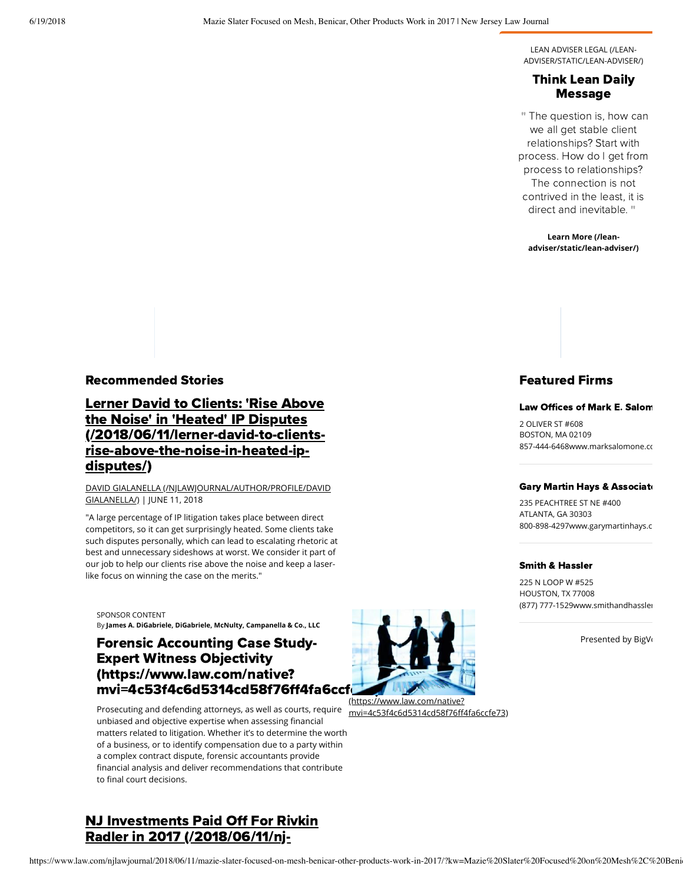LEAN ADVISER LEGAL (/LEAN-[ADVISER/STATIC/LEAN-ADVISER/\)](https://www.law.com/lean-adviser/static/lean-adviser/)

### Think Lean Dail Message

" The question is, how can we all get stable client relationships? Start with process. How do I get from process to relationships? The connection is not contrived in the least, it is direct and inevitable. "

**Learn More (/lean[adviser/static/lean-adviser/\)](https://www.law.com/lean-adviser/static/lean-adviser/)**

#### **Recommended Stories**

## **Lerner David to Clients: 'Rise Above** the Noise' in 'Heated' IP Disputes [\(/2018/06/11/lerner-david-to-clients](https://www.law.com/2018/06/11/lerner-david-to-clients-rise-above-the-noise-in-heated-ip-disputes/)rise-above-the-noise-in-heated-ipdisputes/)

#### [DAVID GIALANELLA \(/NJLAWJOURNAL/AUTHOR/PROFILE/DAVID](https://www.law.com/njlawjournal/author/profile/David%20Gialanella/) GIALANELLA/) | JUNE 11, 2018

"A large percentage of IP litigation takes place between direct competitors, so it can get surprisingly heated. Some clients take such disputes personally, which can lead to escalating rhetoric at best and unnecessary sideshows at worst. We consider it part of our job to help our clients rise above the noise and keep a laserlike focus on winning the case on the merits."

SPONSOR CONTENT By **James A. DiGabriele, DiGabriele, McNulty, Campanella & Co., LLC**

## **Forensic Accounting Case Study-Expert Witness Objectivity** (https://www.law.com/native? mvi=4c53f4c6d5314cd58f76ff4fa6ccf

Prosecuting and defending attorneys, as well as courts, require unbiased and objective expertise when assessing financial matters related to litigation. Whether it's to determine the worth of a business, or to identify compensation due to a party within a complex contract dispute, forensic accountants provide nancial analysis and deliver recommendations that contribute to final court decisions.

## **NJ Investments Paid Off For Rivkin** Radler in 2017 [\(/2018/06/11/nj-](https://www.law.com/2018/06/11/nj-investments-paid-off-for-rivkin-radler-in-2017/)



[mvi=4c53f4c6d5314cd58f764fa6ccfe73\)](https://www.law.com/native?mvi=4c53f4c6d5314cd58f76ff4fa6ccfe73)

## Featured Firms

#### Law Offices of Mark E. Salom

2 OLIVER ST #608 BOSTON, MA 02109 857-444-6468www.marksalomone.co

#### Gary Martin Hays & Associate

235 PEACHTREE ST NE #400 ATLANTA, GA 30303 800-898-4297www.garymartinhays.c

#### **Smith & Hassler**

225 N LOOP W #525 HOUSTON, TX 77008 (877) 777-1529www.smithandhassler

Presented by BigVo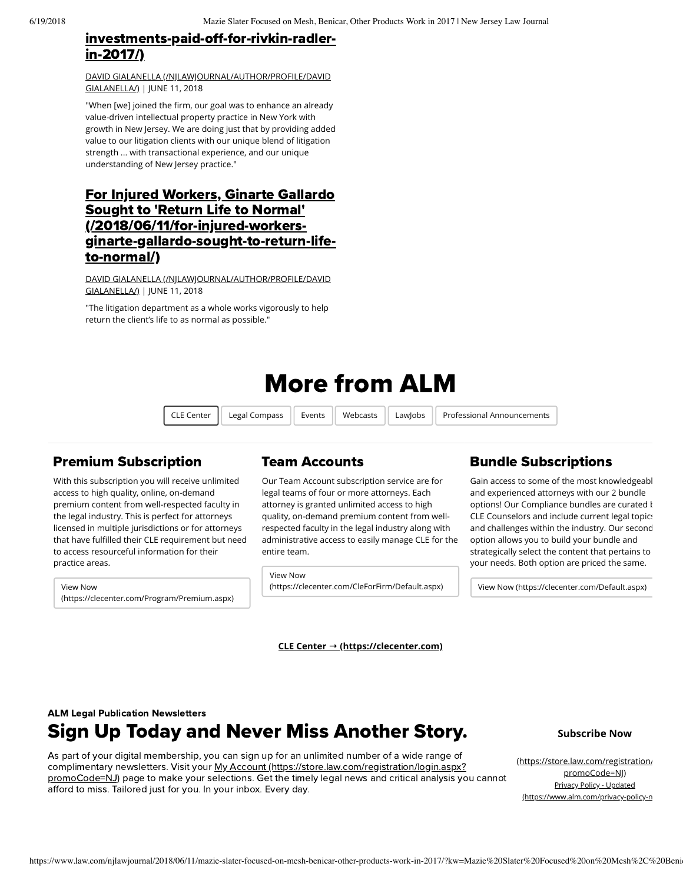## investments-paid-off-for-rivkin-radlerin-2017/)

[DAVID GIALANELLA \(/NJLAWJOURNAL/AUTHOR/PROFILE/DAVID](https://www.law.com/njlawjournal/author/profile/David%20Gialanella/) GIALANELLA/) | JUNE 11, 2018

"When [we] joined the firm, our goal was to enhance an already value-driven intellectual property practice in New York with growth in New Jersey. We are doing just that by providing added value to our litigation clients with our unique blend of litigation strength ... with transactional experience, and our unique understanding of New Jersey practice."

## For Injured Workers, Ginarte Gallardo Sought to 'Return Life to Normal' (/2018/06/11/for-injured-workers[ginarte-gallardo-sought-to-return-life](https://www.law.com/2018/06/11/for-injured-workers-ginarte-gallardo-sought-to-return-life-to-normal/)to-normal/)

[DAVID GIALANELLA \(/NJLAWJOURNAL/AUTHOR/PROFILE/DAVID](https://www.law.com/njlawjournal/author/profile/David%20Gialanella/) GIALANELLA/) | JUNE 11, 2018

"The litigation department as a whole works vigorously to help return the client's life to as normal as possible."

# More from ALM

CLE Center Legal Compass Events Webcasts LawJobs Professional Announcements

## **Premium Subscription**

With this subscription you will receive unlimited access to high quality, online, on-demand premium content from well-respected faculty in the legal industry. This is perfect for attorneys licensed in multiple jurisdictions or for attorneys that have fulfilled their CLE requirement but need to access resourceful information for their practice areas.

View Now [\(https://clecenter.com/Program/Premium.aspx\)](https://clecenter.com/Program/Premium.aspx)

## Team Accounts

Our Team Account subscription service are for legal teams of four or more attorneys. Each attorney is granted unlimited access to high quality, on-demand premium content from wellrespected faculty in the legal industry along with administrative access to easily manage CLE for the entire team.

View Now [\(https://clecenter.com/CleForFirm/Default.aspx\)](https://clecenter.com/CleForFirm/Default.aspx)

## **Bundle Subscriptions**

Gain access to some of the most knowledgeabl and experienced attorneys with our 2 bundle options! Our Compliance bundles are curated  $k$ CLE Counselors and include current legal topics and challenges within the industry. Our second option allows you to build your bundle and strategically select the content that pertains to your needs. Both option are priced the same.

[View Now \(https://clecenter.com/Default.aspx\)](https://clecenter.com/Default.aspx)

**CLE Center → [\(https://clecenter.com\)](https://clecenter.com/)**

## Sign Up Today and Never Miss Another Story. **ALM Legal Publication Newsletters**

As part of your digital membership, you can sign up for an unlimited number of a wide range of complimentary newsletters. Visit your My Account [\(https://store.law.com/registration/login.aspx?](https://store.law.com/registration/login.aspx?promoCode=NJ) promoCode=NJ) page to make your selections. Get the timely legal news and critical analysis you cannot afford to miss. Tailored just for you. In your inbox. Every day.

**Subscribe Now**

[\(https://store.law.com/registration/](https://store.law.com/registration/login.aspx?promoCode=NJ) promoCode=NJ) Privacy Policy - Updated [\(https://www.alm.com/privacy-policy-n](https://www.alm.com/privacy-policy-new/)